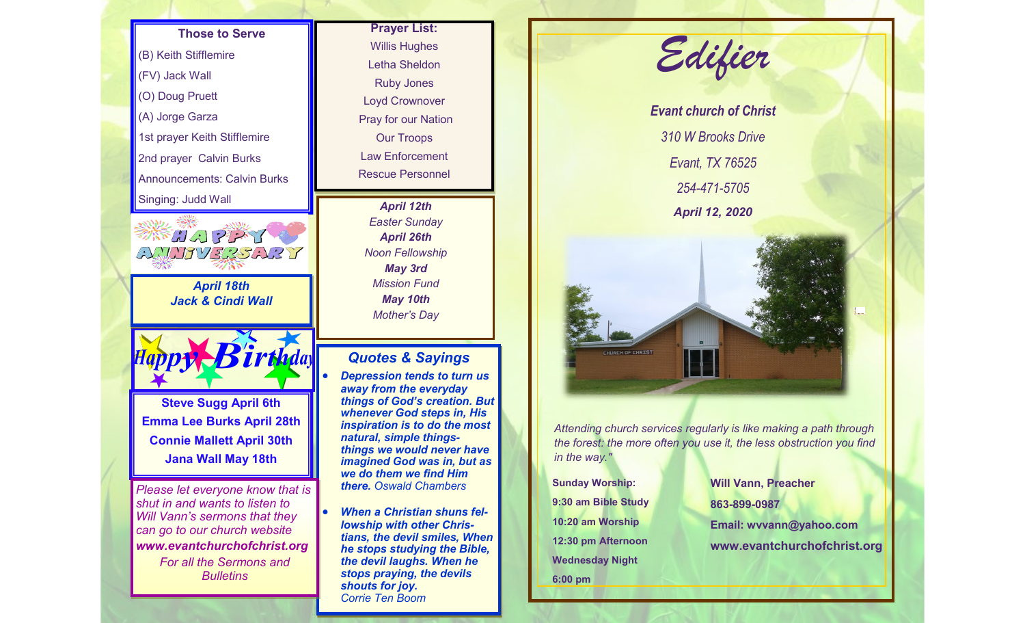# **Those to Serve** (B) Keith Stifflemire (FV) Jack Wall (O) Doug Pruett (A) Jorge Garza 1st prayer Keith Stifflemire 2nd prayer Calvin Burks Announcements: Calvin Burks Singing: Judd Wall 業品のアンプ AMMIVERSARY *April 18th Jack & Cindi Wall* **Steve Sugg April 6th Emma Lee Burks April 28th Connie Mallett April 30th Jana Wall May 18th** *Please let everyone know that is shut in and wants to listen to Will Vann's sermons that they can go to our church website www.evantchurchofchrist.org For all the Sermons and Bulletins*

### **Prayer List:**  Willis Hughes Letha Sheldon Ruby Jones Loyd Crownover Pray for our Nation Our Troops Law Enforcement Rescue Personnel

*April 12th Easter Sunday April 26th Noon Fellowship May 3rd Mission Fund May 10th Mother's Day*

#### *Quotes & Sayings*

- *Depression tends to turn us away from the everyday things of God's creation. But whenever God steps in, His inspiration is to do the most natural, simple thingsthings we would never have imagined God was in, but as we do them we find Him there. Oswald Chambers*
- *When a Christian shuns fellowship with other Christians, the devil smiles, When he stops studying the Bible, the devil laughs. When he stops praying, the devils shouts for joy. Corrie Ten Boom*





*Attending church services regularly is like making a path through the forest: the more often you use it, the less obstruction you find in the way."*

**Sunday Worship: 9:30 am Bible Study 10:20 am Worship 12:30 pm Afternoon Wednesday Night 6:00 pm**

**Will Vann, Preacher 863-899-0987 Email: wvvann@yahoo.com www.evantchurchofchrist.org**